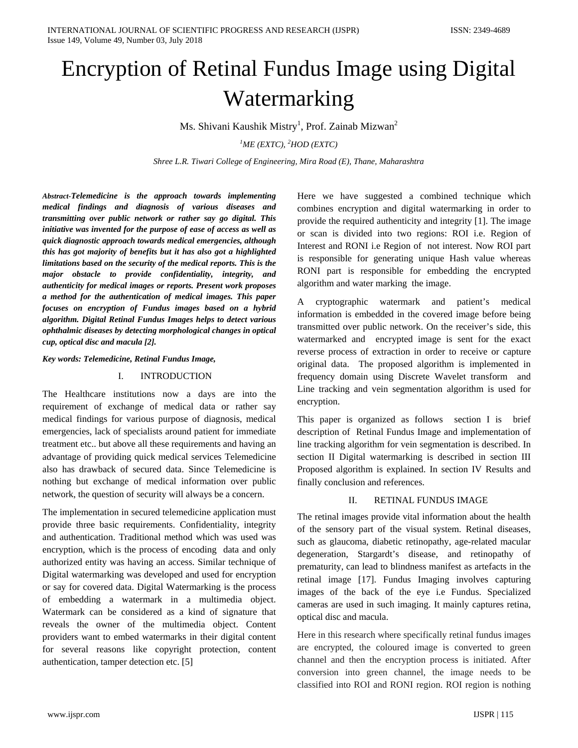# Encryption of Retinal Fundus Image using Digital Watermarking

Ms. Shivani Kaushik Mistry<sup>1</sup>, Prof. Zainab Mizwan<sup>2</sup>

*1 ME (EXTC), <sup>2</sup> HOD (EXTC)*

*Shree L.R. Tiwari College of Engineering, Mira Road (E), Thane, Maharashtra* 

*Abstract-Telemedicine is the approach towards implementing medical findings and diagnosis of various diseases and transmitting over public network or rather say go digital. This initiative was invented for the purpose of ease of access as well as quick diagnostic approach towards medical emergencies, although this has got majority of benefits but it has also got a highlighted limitations based on the security of the medical reports. This is the major obstacle to provide confidentiality, integrity, and authenticity for medical images or reports. Present work proposes a method for the authentication of medical images. This paper focuses on encryption of Fundus images based on a hybrid algorithm. Digital Retinal Fundus Images helps to detect various ophthalmic diseases by detecting morphological changes in optical cup, optical disc and macula [2].* 

*Key words: Telemedicine, Retinal Fundus Image,* 

#### I. INTRODUCTION

The Healthcare institutions now a days are into the requirement of exchange of medical data or rather say medical findings for various purpose of diagnosis, medical emergencies, lack of specialists around patient for immediate treatment etc.. but above all these requirements and having an advantage of providing quick medical services Telemedicine also has drawback of secured data. Since Telemedicine is nothing but exchange of medical information over public network, the question of security will always be a concern.

The implementation in secured telemedicine application must provide three basic requirements. Confidentiality, integrity and authentication. Traditional method which was used was encryption, which is the process of encoding data and only authorized entity was having an access. Similar technique of Digital watermarking was developed and used for encryption or say for covered data. Digital Watermarking is the process of embedding a watermark in a multimedia object. Watermark can be considered as a kind of signature that reveals the owner of the multimedia object. Content providers want to embed watermarks in their digital content for several reasons like copyright protection, content authentication, tamper detection etc. [5]

Here we have suggested a combined technique which combines encryption and digital watermarking in order to provide the required authenticity and integrity [1]. The image or scan is divided into two regions: ROI i.e. Region of Interest and RONI i.e Region of not interest. Now ROI part is responsible for generating unique Hash value whereas RONI part is responsible for embedding the encrypted algorithm and water marking the image.

A cryptographic watermark and patient's medical information is embedded in the covered image before being transmitted over public network. On the receiver's side, this watermarked and encrypted image is sent for the exact reverse process of extraction in order to receive or capture original data. The proposed algorithm is implemented in frequency domain using Discrete Wavelet transform and Line tracking and vein segmentation algorithm is used for encryption.

This paper is organized as follows section I is brief description of Retinal Fundus Image and implementation of line tracking algorithm for vein segmentation is described. In section II Digital watermarking is described in section III Proposed algorithm is explained. In section IV Results and finally conclusion and references.

# II. RETINAL FUNDUS IMAGE

The retinal images provide vital information about the health of the sensory part of the visual system. Retinal diseases, such as glaucoma, diabetic retinopathy, age-related macular degeneration, Stargardt's disease, and retinopathy of prematurity, can lead to blindness manifest as artefacts in the retinal image [17]. Fundus Imaging involves capturing images of the back of the eye i.e Fundus. Specialized cameras are used in such imaging. It mainly captures retina, optical disc and macula.

Here in this research where specifically retinal fundus images are encrypted, the coloured image is converted to green channel and then the encryption process is initiated. After conversion into green channel, the image needs to be classified into ROI and RONI region. ROI region is nothing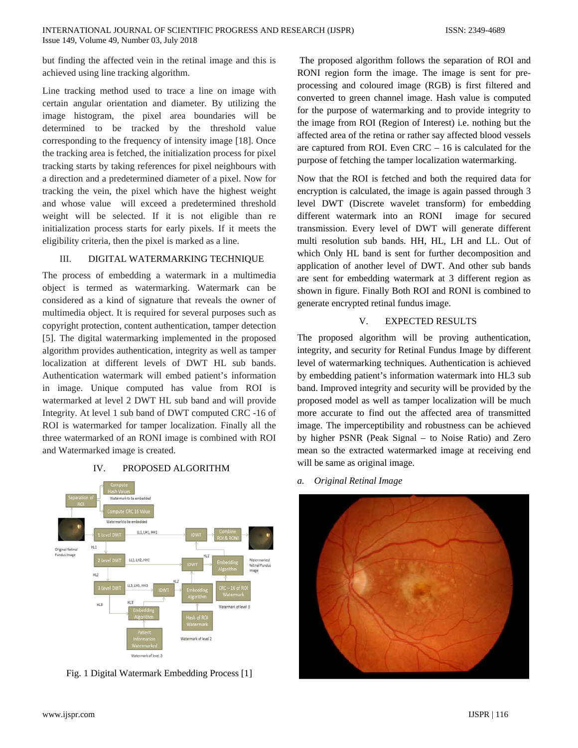but finding the affected vein in the retinal image and this is achieved using line tracking algorithm.

Line tracking method used to trace a line on image with certain angular orientation and diameter. By utilizing the image histogram, the pixel area boundaries will be determined to be tracked by the threshold value corresponding to the frequency of intensity image [18]. Once the tracking area is fetched, the initialization process for pixel tracking starts by taking references for pixel neighbours with a direction and a predetermined diameter of a pixel. Now for tracking the vein, the pixel which have the highest weight and whose value will exceed a predetermined threshold weight will be selected. If it is not eligible than re initialization process starts for early pixels. If it meets the eligibility criteria, then the pixel is marked as a line.

## III. DIGITAL WATERMARKING TECHNIQUE

The process of embedding a watermark in a multimedia object is termed as watermarking. Watermark can be considered as a kind of signature that reveals the owner of multimedia object. It is required for several purposes such as copyright protection, content authentication, tamper detection [5]. The digital watermarking implemented in the proposed algorithm provides authentication, integrity as well as tamper localization at different levels of DWT HL sub bands. Authentication watermark will embed patient's information in image. Unique computed has value from ROI is watermarked at level 2 DWT HL sub band and will provide Integrity. At level 1 sub band of DWT computed CRC -16 of ROI is watermarked for tamper localization. Finally all the three watermarked of an RONI image is combined with ROI and Watermarked image is created.

#### IV. PROPOSED ALGORITHM



Fig. 1 Digital Watermark Embedding Process [1]

The proposed algorithm follows the separation of ROI and RONI region form the image. The image is sent for preprocessing and coloured image (RGB) is first filtered and converted to green channel image. Hash value is computed for the purpose of watermarking and to provide integrity to the image from ROI (Region of Interest) i.e. nothing but the affected area of the retina or rather say affected blood vessels are captured from ROI. Even CRC – 16 is calculated for the purpose of fetching the tamper localization watermarking.

Now that the ROI is fetched and both the required data for encryption is calculated, the image is again passed through 3 level DWT (Discrete wavelet transform) for embedding different watermark into an RONI image for secured transmission. Every level of DWT will generate different multi resolution sub bands. HH, HL, LH and LL. Out of which Only HL band is sent for further decomposition and application of another level of DWT. And other sub bands are sent for embedding watermark at 3 different region as shown in figure. Finally Both ROI and RONI is combined to generate encrypted retinal fundus image.

## V. EXPECTED RESULTS

The proposed algorithm will be proving authentication, integrity, and security for Retinal Fundus Image by different level of watermarking techniques. Authentication is achieved by embedding patient's information watermark into HL3 sub band. Improved integrity and security will be provided by the proposed model as well as tamper localization will be much more accurate to find out the affected area of transmitted image. The imperceptibility and robustness can be achieved by higher PSNR (Peak Signal – to Noise Ratio) and Zero mean so the extracted watermarked image at receiving end will be same as original image.

*a. Original Retinal Image*

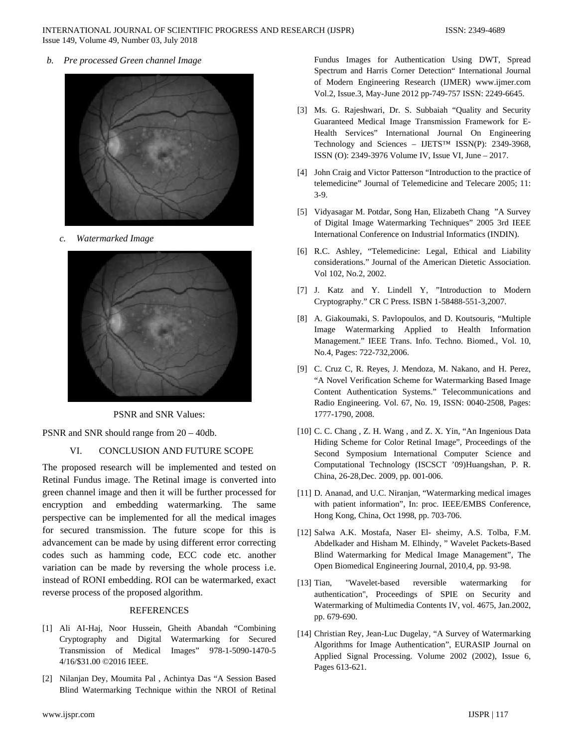*b. Pre processed Green channel Image*



*c. Watermarked Image*



PSNR and SNR Values:

PSNR and SNR should range from 20 – 40db.

# VI. CONCLUSION AND FUTURE SCOPE

The proposed research will be implemented and tested on Retinal Fundus image. The Retinal image is converted into green channel image and then it will be further processed for encryption and embedding watermarking. The same perspective can be implemented for all the medical images for secured transmission. The future scope for this is advancement can be made by using different error correcting codes such as hamming code, ECC code etc. another variation can be made by reversing the whole process i.e. instead of RONI embedding. ROI can be watermarked, exact reverse process of the proposed algorithm.

#### **REFERENCES**

- [1] Ali AI-Haj, Noor Hussein, Gheith Abandah "Combining Cryptography and Digital Watermarking for Secured Transmission of Medical Images" 978-1-5090-1470-5 4/16/\$31.00 ©2016 IEEE.
- [2] Nilanjan Dey, Moumita Pal , Achintya Das "A Session Based Blind Watermarking Technique within the NROI of Retinal

Fundus Images for Authentication Using DWT, Spread Spectrum and Harris Corner Detection" International Journal of Modern Engineering Research (IJMER) www.ijmer.com Vol.2, Issue.3, May-June 2012 pp-749-757 ISSN: 2249-6645.

- [3] Ms. G. Rajeshwari, Dr. S. Subbaiah "Quality and Security Guaranteed Medical Image Transmission Framework for E-Health Services" International Journal On Engineering Technology and Sciences – IJETS™ ISSN(P): 2349-3968, ISSN (O): 2349-3976 Volume IV, Issue VI, June – 2017.
- [4] John Craig and Victor Patterson "Introduction to the practice of telemedicine" Journal of Telemedicine and Telecare 2005; 11: 3-9.
- [5] Vidyasagar M. Potdar, Song Han, Elizabeth Chang "A Survey of Digital Image Watermarking Techniques" 2005 3rd IEEE International Conference on Industrial Informatics (INDIN).
- [6] R.C. Ashley, "Telemedicine: Legal, Ethical and Liability considerations." Journal of the American Dietetic Association. Vol 102, No.2, 2002.
- [7] J. Katz and Y. Lindell Y, "Introduction to Modern Cryptography." CR C Press. ISBN 1-58488-551-3,2007.
- [8] A. Giakoumaki, S. Pavlopoulos, and D. Koutsouris, "Multiple Image Watermarking Applied to Health Information Management." IEEE Trans. Info. Techno. Biomed., Vol. 10, No.4, Pages: 722-732,2006.
- [9] C. Cruz C, R. Reyes, J. Mendoza, M. Nakano, and H. Perez, "A Novel Verification Scheme for Watermarking Based Image Content Authentication Systems." Telecommunications and Radio Engineering. Vol. 67, No. 19, ISSN: 0040-2508, Pages: 1777-1790, 2008.
- [10] C. C. Chang, Z. H. Wang, and Z. X. Yin, "An Ingenious Data Hiding Scheme for Color Retinal Image", Proceedings of the Second Symposium International Computer Science and Computational Technology (ISCSCT '09)Huangshan, P. R. China, 26-28,Dec. 2009, pp. 001-006.
- [11] D. Ananad, and U.C. Niranjan, "Watermarking medical images with patient information", In: proc. IEEE/EMBS Conference, Hong Kong, China, Oct 1998, pp. 703-706.
- [12] Salwa A.K. Mostafa, Naser El- sheimy, A.S. Tolba, F.M. Abdelkader and Hisham M. Elhindy, " Wavelet Packets-Based Blind Watermarking for Medical Image Management", The Open Biomedical Engineering Journal, 2010,4, pp. 93-98.
- [13] Tian, "Wavelet-based reversible watermarking for authentication", Proceedings of SPIE on Security and Watermarking of Multimedia Contents IV, vol. 4675, Jan.2002, pp. 679-690.
- [14] Christian Rey, Jean-Luc Dugelay, "A Survey of Watermarking Algorithms for Image Authentication", EURASIP Journal on Applied Signal Processing. Volume 2002 (2002), Issue 6, Pages 613-621.